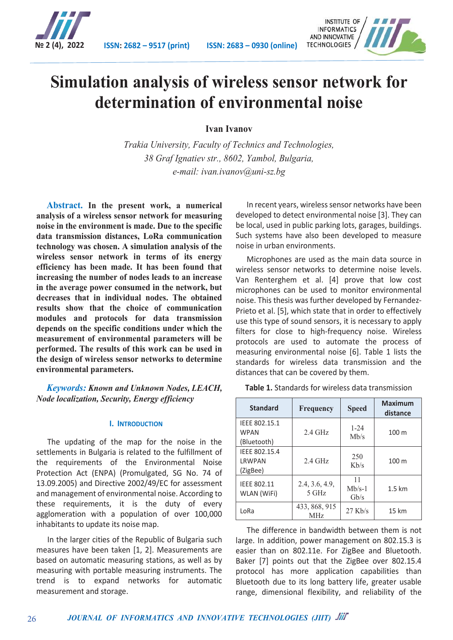



# **Simulation analysis of wireless sensor network for determination of environmental noise**

**Ivan Ivanov**

*Trakia University, Faculty of Technics and Technologies, 38 Graf Ignatiev str., 8602, Yambol, Bulgaria, e-mail: ivan.ivanov@uni-sz.bg*

**Abstract. In the present work, a numerical analysis of a wireless sensor network for measuring noise in the environment is made. Due to the specific data transmission distances, LoRa communication technology was chosen. A simulation analysis of the wireless sensor network in terms of its energy efficiency has been made. It has been found that increasing the number of nodes leads to an increase in the average power consumed in the network, but decreases that in individual nodes. The obtained results show that the choice of communication modules and protocols for data transmission depends on the specific conditions under which the measurement of environmental parameters will be performed. The results of this work can be used in the design of wireless sensor networks to determine environmental parameters.**

*Keywords: Known and Unknown Nodes, LEACH, Node localization, Security, Energy efficiency*

## **I. INTRODUCTION**

The updating of the map for the noise in the settlements in Bulgaria is related to the fulfillment of the requirements of the Environmental Noise Protection Act (ENPA) (Promulgated, SG No. 74 of 13.09.2005) and Directive 2002/49/EC for assessment and management of environmental noise. According to these requirements, it is the duty of every agglomeration with a population of over 100,000 inhabitants to update its noise map.

In the larger cities of the Republic of Bulgaria such measures have been taken [1, 2]. Measurements are based on automatic measuring stations, as well as by measuring with portable measuring instruments. The trend is to expand networks for automatic measurement and storage.

In recent years, wireless sensor networks have been developed to detect environmental noise [3]. They can be local, used in public parking lots, garages, buildings. Such systems have also been developed to measure noise in urban environments.

Microphones are used as the main data source in wireless sensor networks to determine noise levels. Van Renterghem et al. [4] prove that low cost microphones can be used to monitor environmental noise. This thesis was further developed by Fernandez-Prieto et al. [5], which state that in order to effectively use this type of sound sensors, it is necessary to apply filters for close to high-frequency noise. Wireless protocols are used to automate the process of measuring environmental noise [6]. Table 1 lists the standards for wireless data transmission and the distances that can be covered by them.

**Table 1.** Standards for wireless data transmission

| <b>Standard</b>                             | <b>Frequency</b>          | <b>Speed</b>                      | <b>Maximum</b><br>distance |
|---------------------------------------------|---------------------------|-----------------------------------|----------------------------|
| IEEE 802.15.1<br><b>WPAN</b><br>(Bluetooth) | $2.4$ GHz                 | $1 - 24$<br>Mb/s                  | 100 m                      |
| IEEE 802.15.4<br><b>I RWPAN</b><br>(ZigBee) | $2.4$ GHz                 | 250<br>Kb/s                       | 100 m                      |
| <b>IEEE 802.11</b><br>WLAN (WiFi)           | 2.4, 3.6, 4.9,<br>$5$ GHz | 11<br>$Mb/s-1$<br>$\mathrm{Gb/s}$ | $1.5 \mathrm{km}$          |
| LoRa                                        | 433, 868, 915<br>MHz      | $27$ Kb/s                         | 15 km                      |

The difference in bandwidth between them is not large. In addition, power management on 802.15.3 is easier than on 802.11e. For ZigBee and Bluetooth. Baker [7] points out that the ZigBee over 802.15.4 protocol has more application capabilities than Bluetooth due to its long battery life, greater usable range, dimensional flexibility, and reliability of the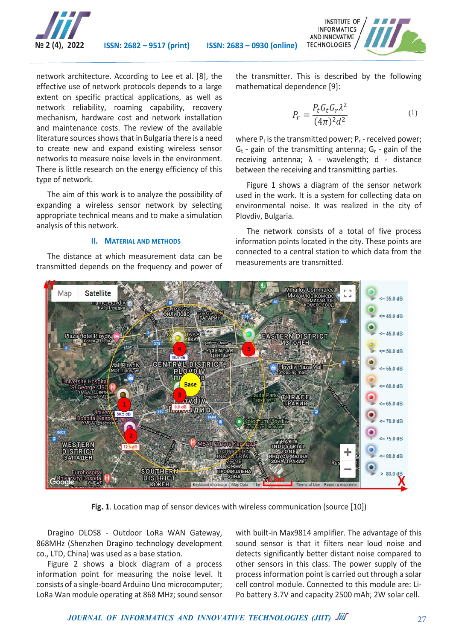

network architecture. According to Lee et al. [8], the effective use of network protocols depends to a large extent on specific practical applications, as well as network reliability, roaming capability, recovery mechanism, hardware cost and network installation and maintenance costs. The review of the available literature sources shows that in Bulgaria there is a need to create new and expand existing wireless sensor networks to measure noise levels in the environment. There is little research on the energy efficiency of this type of network.

The aim of this work is to analyze the possibility of expanding a wireless sensor network by selecting appropriate technical means and to make a simulation analysis of this network.

### **II. MATERIAL AND METHODS**

The distance at which measurement data can be transmitted depends on the frequency and power of the transmitter. This is described by the following mathematical dependence [9]:

$$
P_r = \frac{P_t G_t G_r \lambda^2}{(4\pi)^2 d^2} \tag{1}
$$

where  $P_t$  is the transmitted power;  $P_r$  - received power;  $G_t$  - gain of the transmitting antenna;  $G_r$  - gain of the receiving antenna;  $\lambda$  - wavelength; d - distance between the receiving and transmitting parties.

Figure 1 shows a diagram of the sensor network used in the work. It is a system for collecting data on environmental noise. It was realized in the city of Plovdiv, Bulgaria.

The network consists of a total of five process information points located in the city. These points are connected to a central station to which data from the measurements are transmitted.



**Fig. 1**. Location map of sensor devices with wireless communication (source [10])

Dragino DLOS8 - Outdoor LoRa WAN Gateway, 868MHz (Shenzhen Dragino technology development co., LTD, China) was used as a base station.

Figure 2 shows a block diagram of a process information point for measuring the noise level. It consists of a single-board Arduino Uno microcomputer; LoRa Wan module operating at 868 MHz; sound sensor with built-in Max9814 amplifier. The advantage of this sound sensor is that it filters near loud noise and detects significantly better distant noise compared to other sensors in this class. The power supply of the process information point is carried out through a solar cell control module. Connected to this module are: Li-Po battery 3.7V and capacity 2500 mAh; 2W solar cell.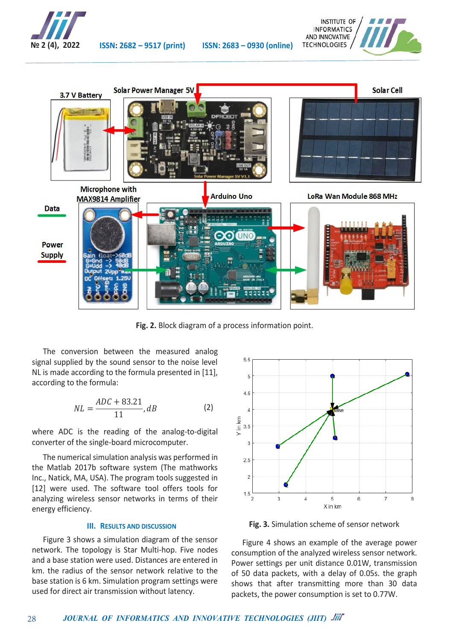





**Fig. 2.** Block diagram of a process information point.

The conversion between the measured analog signal supplied by the sound sensor to the noise level NL is made according to the formula presented in [11], according to the formula:

$$
NL = \frac{ADC + 83.21}{11}, dB
$$
 (2)

where ADC is the reading of the analog-to-digital converter of the single-board microcomputer.

The numerical simulation analysis was performed in the Matlab 2017b software system (The mathworks Inc., Natick, MA, USA). The program tools suggested in [12] were used. The software tool offers tools for analyzing wireless sensor networks in terms of their energy efficiency.

#### **III. RESULTS AND DISCUSSION**

Figure 3 shows a simulation diagram of the sensor network. The topology is Star Multi-hop. Five nodes and a base station were used. Distances are entered in km. the radius of the sensor network relative to the base station is 6 km. Simulation program settings were used for direct air transmission without latency.



**Fig. 3.** Simulation scheme of sensor network

Figure 4 shows an example of the average power consumption of the analyzed wireless sensor network. Power settings per unit distance 0.01W, transmission of 50 data packets, with a delay of 0.05s. the graph shows that after transmitting more than 30 data packets, the power consumption is set to 0.77W.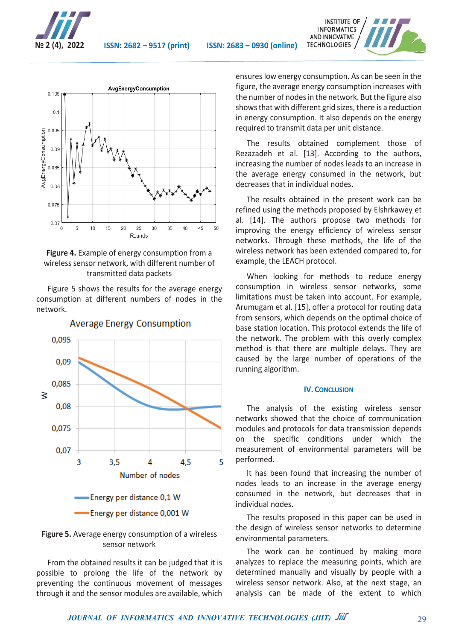





**Figure 4.** Example of energy consumption from a wireless sensor network, with different number of transmitted data packets

Figure 5 shows the results for the average energy consumption at different numbers of nodes in the network.



**Average Energy Consumption** 

**Figure 5.** Average energy consumption of a wireless sensor network

From the obtained results it can be judged that it is possible to prolong the life of the network by preventing the continuous movement of messages through it and the sensor modules are available, which ensures low energy consumption. As can be seen in the figure, the average energy consumption increases with the number of nodes in the network. But the figure also shows that with different grid sizes, there is a reduction in energy consumption. It also depends on the energy required to transmit data per unit distance.

The results obtained complement those of Rezazadeh et al. [13]. According to the authors, increasing the number of nodes leads to an increase in the average energy consumed in the network, but decreases that in individual nodes.

The results obtained in the present work can be refined using the methods proposed by Elshrkawey et al. [14]. The authors propose two methods for improving the energy efficiency of wireless sensor networks. Through these methods, the life of the wireless network has been extended compared to, for example, the LEACH protocol.

When looking for methods to reduce energy consumption in wireless sensor networks, some limitations must be taken into account. For example, Arumugam et al. [15], offer a protocol for routing data from sensors, which depends on the optimal choice of base station location. This protocol extends the life of the network. The problem with this overly complex method is that there are multiple delays. They are caused by the large number of operations of the running algorithm.

#### **IV. CONCLUSION**

The analysis of the existing wireless sensor networks showed that the choice of communication modules and protocols for data transmission depends on the specific conditions under which the measurement of environmental parameters will be performed.

It has been found that increasing the number of nodes leads to an increase in the average energy consumed in the network, but decreases that in individual nodes.

The results proposed in this paper can be used in the design of wireless sensor networks to determine environmental parameters.

The work can be continued by making more analyzes to replace the measuring points, which are determined manually and visually by people with a wireless sensor network. Also, at the next stage, an analysis can be made of the extent to which